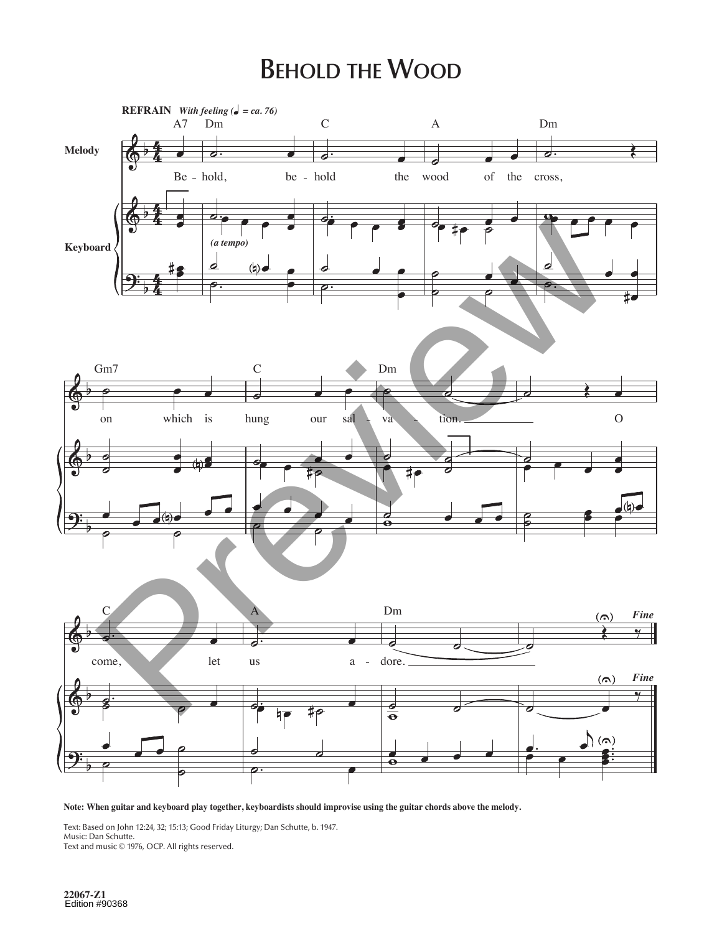## **BEHOLD THE WOOD**



Note: When guitar and keyboard play together, keyboardists should improvise using the guitar chords above the melody.

Text: Based on John 12:24, 32; 15:13; Good Friday Liturgy; Dan Schutte, b. 1947. Music: Dan Schutte. Text and music © 1976, OCP. All rights reserved.